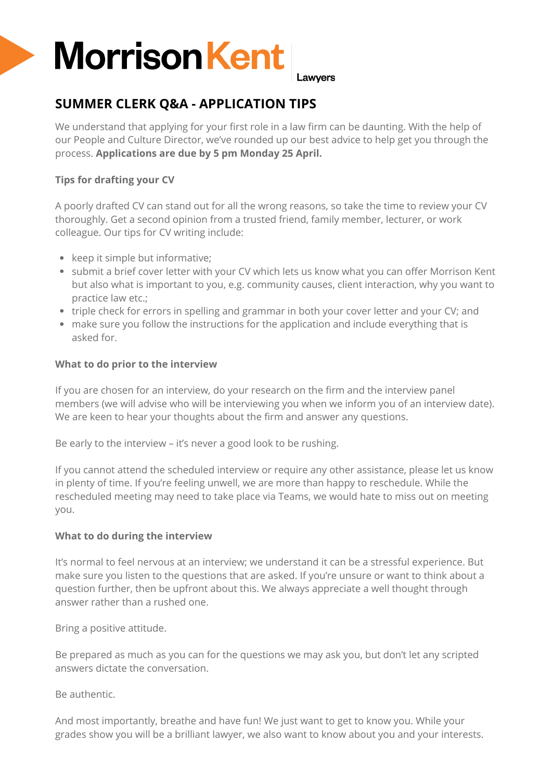# **Morrison Kent**

Lawvers

# **SUMMER CLERK Q&A - APPLICATION TIPS**

We understand that applying for your first role in a law firm can be daunting. With the help of our People and Culture Director, we've rounded up our best advice to help get you through the process. **Applications are due by 5 pm Monday 25 April.** 

# **Tips for drafting your CV**

A poorly drafted CV can stand out for all the wrong reasons, so take the time to review your CV thoroughly. Get a second opinion from a trusted friend, family member, lecturer, or work colleague. Our tips for CV writing include:

- keep it simple but informative;
- submit a brief cover letter with your CV which lets us know what you can offer Morrison Kent but also what is important to you, e.g. community causes, client interaction, why you want to practice law etc.;
- triple check for errors in spelling and grammar in both your cover letter and your CV; and
- make sure you follow the instructions for the application and include everything that is asked for.

### **What to do prior to the interview**

If you are chosen for an interview, do your research on the firm and the interview panel members (we will advise who will be interviewing you when we inform you of an interview date). We are keen to hear your thoughts about the firm and answer any questions.

Be early to the interview – it's never a good look to be rushing.

If you cannot attend the scheduled interview or require any other assistance, please let us know in plenty of time. If you're feeling unwell, we are more than happy to reschedule. While the rescheduled meeting may need to take place via Teams, we would hate to miss out on meeting you.

# **What to do during the interview**

It's normal to feel nervous at an interview; we understand it can be a stressful experience. But make sure you listen to the questions that are asked. If you're unsure or want to think about a question further, then be upfront about this. We always appreciate a well thought through answer rather than a rushed one.

Bring a positive attitude.

Be prepared as much as you can for the questions we may ask you, but don't let any scripted answers dictate the conversation.

Be authentic.

And most importantly, breathe and have fun! We just want to get to know you. While your grades show you will be a brilliant lawyer, we also want to know about you and your interests.